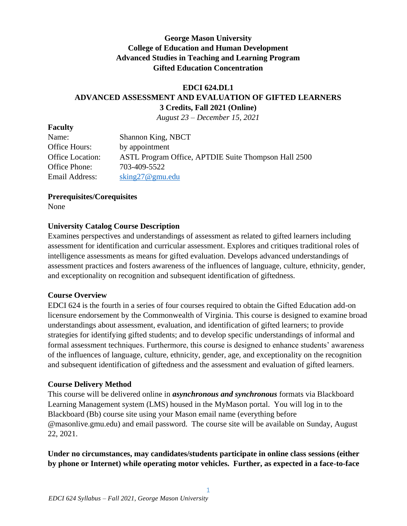## **George Mason University College of Education and Human Development Advanced Studies in Teaching and Learning Program Gifted Education Concentration**

# **EDCI 624.DL1 ADVANCED ASSESSMENT AND EVALUATION OF GIFTED LEARNERS 3 Credits, Fall 2021 (Online)**

*August 23 – December 15, 2021*

| <b>Shannon King, NBCT</b>                            |
|------------------------------------------------------|
| by appointment                                       |
| ASTL Program Office, APTDIE Suite Thompson Hall 2500 |
| 703-409-5522                                         |
| $\sin 27$ @ gmu.edu                                  |
|                                                      |

### **Prerequisites/Corequisites**

None

**Faculty**

## **University Catalog Course Description**

Examines perspectives and understandings of assessment as related to gifted learners including assessment for identification and curricular assessment. Explores and critiques traditional roles of intelligence assessments as means for gifted evaluation. Develops advanced understandings of assessment practices and fosters awareness of the influences of language, culture, ethnicity, gender, and exceptionality on recognition and subsequent identification of giftedness.

## **Course Overview**

EDCI 624 is the fourth in a series of four courses required to obtain the Gifted Education add-on licensure endorsement by the Commonwealth of Virginia. This course is designed to examine broad understandings about assessment, evaluation, and identification of gifted learners; to provide strategies for identifying gifted students; and to develop specific understandings of informal and formal assessment techniques. Furthermore, this course is designed to enhance students' awareness of the influences of language, culture, ethnicity, gender, age, and exceptionality on the recognition and subsequent identification of giftedness and the assessment and evaluation of gifted learners.

## **Course Delivery Method**

This course will be delivered online in *asynchronous and synchronous* formats via Blackboard Learning Management system (LMS) housed in the MyMason portal. You will log in to the Blackboard (Bb) course site using your Mason email name (everything before @masonlive.gmu.edu) and email password. The course site will be available on Sunday, August 22, 2021.

## **Under no circumstances, may candidates/students participate in online class sessions (either by phone or Internet) while operating motor vehicles. Further, as expected in a face-to-face**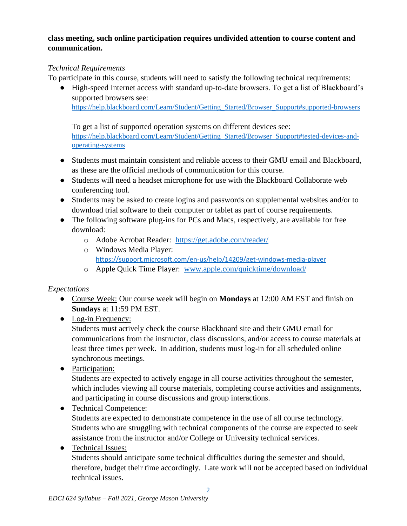# **class meeting, such online participation requires undivided attention to course content and communication.**

# *Technical Requirements*

To participate in this course, students will need to satisfy the following technical requirements:

● High-speed Internet access with standard up-to-date browsers. To get a list of Blackboard's supported browsers see:

[https://help.blackboard.com/Learn/Student/Getting\\_Started/Browser\\_Support#supported-browsers](https://help.blackboard.com/Learn/Student/Getting_Started/Browser_Support#supported-browsers)

To get a list of supported operation systems on different devices see: [https://help.blackboard.com/Learn/Student/Getting\\_Started/Browser\\_Support#tested-devices-and](https://help.blackboard.com/Learn/Student/Getting_Started/Browser_Support#tested-devices-and-operating-systems)[operating-systems](https://help.blackboard.com/Learn/Student/Getting_Started/Browser_Support#tested-devices-and-operating-systems)

- Students must maintain consistent and reliable access to their GMU email and Blackboard, as these are the official methods of communication for this course.
- Students will need a headset microphone for use with the Blackboard Collaborate web conferencing tool.
- Students may be asked to create logins and passwords on supplemental websites and/or to download trial software to their computer or tablet as part of course requirements.
- The following software plug-ins for PCs and Macs, respectively, are available for free download:
	- o Adobe Acrobat Reader: <https://get.adobe.com/reader/>
	- o Windows Media Player: <https://support.microsoft.com/en-us/help/14209/get-windows-media-player>
	- o Apple Quick Time Player: [www.apple.com/quicktime/download/](http://www.apple.com/quicktime/download/)

# *Expectations*

- Course Week: Our course week will begin on **Mondays** at 12:00 AM EST and finish on **Sundays** at 11:59 PM EST.
- Log-in Frequency:

Students must actively check the course Blackboard site and their GMU email for communications from the instructor, class discussions, and/or access to course materials at least three times per week. In addition, students must log-in for all scheduled online synchronous meetings.

• Participation:

Students are expected to actively engage in all course activities throughout the semester, which includes viewing all course materials, completing course activities and assignments, and participating in course discussions and group interactions.

- Technical Competence: Students are expected to demonstrate competence in the use of all course technology. Students who are struggling with technical components of the course are expected to seek assistance from the instructor and/or College or University technical services.
- Technical Issues:

Students should anticipate some technical difficulties during the semester and should, therefore, budget their time accordingly. Late work will not be accepted based on individual technical issues.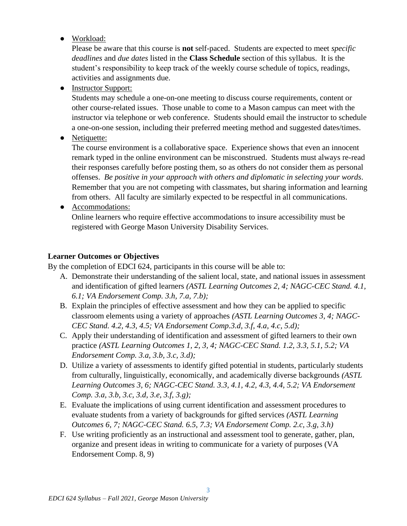● Workload:

Please be aware that this course is **not** self-paced. Students are expected to meet *specific deadlines* and *due dates* listed in the **Class Schedule** section of this syllabus. It is the student's responsibility to keep track of the weekly course schedule of topics, readings, activities and assignments due.

• Instructor Support:

Students may schedule a one-on-one meeting to discuss course requirements, content or other course-related issues. Those unable to come to a Mason campus can meet with the instructor via telephone or web conference. Students should email the instructor to schedule a one-on-one session, including their preferred meeting method and suggested dates/times.

• Netiquette:

The course environment is a collaborative space. Experience shows that even an innocent remark typed in the online environment can be misconstrued. Students must always re-read their responses carefully before posting them, so as others do not consider them as personal offenses. *Be positive in your approach with others and diplomatic in selecting your words*. Remember that you are not competing with classmates, but sharing information and learning from others. All faculty are similarly expected to be respectful in all communications.

● Accommodations:

Online learners who require effective accommodations to insure accessibility must be registered with George Mason University Disability Services.

### **Learner Outcomes or Objectives**

By the completion of EDCI 624, participants in this course will be able to:

- A. Demonstrate their understanding of the salient local, state, and national issues in assessment and identification of gifted learners *(ASTL Learning Outcomes 2, 4; NAGC-CEC Stand. 4.1, 6.1; VA Endorsement Comp. 3.h, 7.a, 7.b);*
- B. Explain the principles of effective assessment and how they can be applied to specific classroom elements using a variety of approaches *(ASTL Learning Outcomes 3, 4; NAGC-CEC Stand. 4.2, 4.3, 4.5; VA Endorsement Comp.3.d, 3.f, 4.a, 4.c, 5.d);*
- C. Apply their understanding of identification and assessment of gifted learners to their own practice *(ASTL Learning Outcomes 1, 2, 3, 4; NAGC-CEC Stand. 1.2, 3.3, 5.1, 5.2; VA Endorsement Comp. 3.a, 3.b, 3.c, 3.d);*
- D. Utilize a variety of assessments to identify gifted potential in students, particularly students from culturally, linguistically, economically, and academically diverse backgrounds *(ASTL Learning Outcomes 3, 6; NAGC-CEC Stand. 3.3, 4.1, 4.2, 4.3, 4.4, 5.2; VA Endorsement Comp. 3.a, 3.b, 3.c, 3.d, 3.e, 3.f, 3.g);*
- E. Evaluate the implications of using current identification and assessment procedures to evaluate students from a variety of backgrounds for gifted services *(ASTL Learning Outcomes 6, 7; NAGC-CEC Stand. 6.5, 7.3; VA Endorsement Comp. 2.c, 3.g, 3.h)*
- F. Use writing proficiently as an instructional and assessment tool to generate, gather, plan, organize and present ideas in writing to communicate for a variety of purposes (VA Endorsement Comp. 8, 9)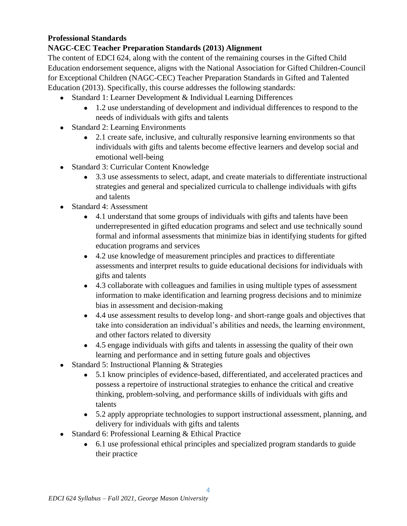## **Professional Standards**

## **NAGC-CEC Teacher Preparation Standards (2013) Alignment**

The content of EDCI 624, along with the content of the remaining courses in the Gifted Child Education endorsement sequence, aligns with the National Association for Gifted Children-Council for Exceptional Children (NAGC-CEC) Teacher Preparation Standards in Gifted and Talented Education (2013). Specifically, this course addresses the following standards:

- Standard 1: Learner Development & Individual Learning Differences
	- 1.2 use understanding of development and individual differences to respond to the needs of individuals with gifts and talents
- Standard 2: Learning Environments
	- 2.1 create safe, inclusive, and culturally responsive learning environments so that individuals with gifts and talents become effective learners and develop social and emotional well-being
- Standard 3: Curricular Content Knowledge
	- 3.3 use assessments to select, adapt, and create materials to differentiate instructional strategies and general and specialized curricula to challenge individuals with gifts and talents
- Standard 4: Assessment
	- 4.1 understand that some groups of individuals with gifts and talents have been underrepresented in gifted education programs and select and use technically sound formal and informal assessments that minimize bias in identifying students for gifted education programs and services
	- 4.2 use knowledge of measurement principles and practices to differentiate assessments and interpret results to guide educational decisions for individuals with gifts and talents
	- 4.3 collaborate with colleagues and families in using multiple types of assessment information to make identification and learning progress decisions and to minimize bias in assessment and decision-making
	- 4.4 use assessment results to develop long- and short-range goals and objectives that take into consideration an individual's abilities and needs, the learning environment, and other factors related to diversity
	- 4.5 engage individuals with gifts and talents in assessing the quality of their own learning and performance and in setting future goals and objectives
- Standard 5: Instructional Planning & Strategies
	- 5.1 know principles of evidence-based, differentiated, and accelerated practices and possess a repertoire of instructional strategies to enhance the critical and creative thinking, problem-solving, and performance skills of individuals with gifts and talents
	- 5.2 apply appropriate technologies to support instructional assessment, planning, and delivery for individuals with gifts and talents
- Standard 6: Professional Learning & Ethical Practice
	- 6.1 use professional ethical principles and specialized program standards to guide their practice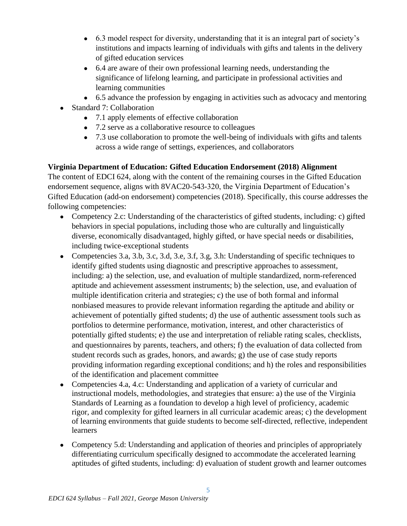- 6.3 model respect for diversity, understanding that it is an integral part of society's institutions and impacts learning of individuals with gifts and talents in the delivery of gifted education services
- 6.4 are aware of their own professional learning needs, understanding the significance of lifelong learning, and participate in professional activities and learning communities
- 6.5 advance the profession by engaging in activities such as advocacy and mentoring
- Standard 7: Collaboration
	- 7.1 apply elements of effective collaboration
	- 7.2 serve as a collaborative resource to colleagues
	- 7.3 use collaboration to promote the well-being of individuals with gifts and talents across a wide range of settings, experiences, and collaborators

# **Virginia Department of Education: Gifted Education Endorsement (2018) Alignment**

The content of EDCI 624, along with the content of the remaining courses in the Gifted Education endorsement sequence, aligns with 8VAC20-543-320, the Virginia Department of Education's Gifted Education (add-on endorsement) competencies (2018). Specifically, this course addresses the following competencies:

- Competency 2.c: Understanding of the characteristics of gifted students, including: c) gifted behaviors in special populations, including those who are culturally and linguistically diverse, economically disadvantaged, highly gifted, or have special needs or disabilities, including twice-exceptional students
- Competencies 3.a, 3.b, 3.c, 3.d, 3.e, 3.f, 3.g, 3.h: Understanding of specific techniques to identify gifted students using diagnostic and prescriptive approaches to assessment, including: a) the selection, use, and evaluation of multiple standardized, norm-referenced aptitude and achievement assessment instruments; b) the selection, use, and evaluation of multiple identification criteria and strategies; c) the use of both formal and informal nonbiased measures to provide relevant information regarding the aptitude and ability or achievement of potentially gifted students; d) the use of authentic assessment tools such as portfolios to determine performance, motivation, interest, and other characteristics of potentially gifted students; e) the use and interpretation of reliable rating scales, checklists, and questionnaires by parents, teachers, and others; f) the evaluation of data collected from student records such as grades, honors, and awards; g) the use of case study reports providing information regarding exceptional conditions; and h) the roles and responsibilities of the identification and placement committee
- Competencies 4.a, 4.c: Understanding and application of a variety of curricular and instructional models, methodologies, and strategies that ensure: a) the use of the Virginia Standards of Learning as a foundation to develop a high level of proficiency, academic rigor, and complexity for gifted learners in all curricular academic areas; c) the development of learning environments that guide students to become self-directed, reflective, independent learners
- Competency 5.d: Understanding and application of theories and principles of appropriately differentiating curriculum specifically designed to accommodate the accelerated learning aptitudes of gifted students, including: d) evaluation of student growth and learner outcomes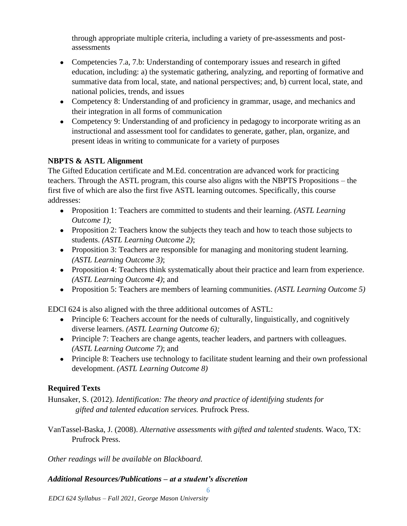through appropriate multiple criteria, including a variety of pre-assessments and postassessments

- Competencies 7.a, 7.b: Understanding of contemporary issues and research in gifted education, including: a) the systematic gathering, analyzing, and reporting of formative and summative data from local, state, and national perspectives; and, b) current local, state, and national policies, trends, and issues
- Competency 8: Understanding of and proficiency in grammar, usage, and mechanics and their integration in all forms of communication
- Competency 9: Understanding of and proficiency in pedagogy to incorporate writing as an instructional and assessment tool for candidates to generate, gather, plan, organize, and present ideas in writing to communicate for a variety of purposes

# **NBPTS & ASTL Alignment**

The Gifted Education certificate and M.Ed. concentration are advanced work for practicing teachers. Through the ASTL program, this course also aligns with the NBPTS Propositions – the first five of which are also the first five ASTL learning outcomes. Specifically, this course addresses:

- Proposition 1: Teachers are committed to students and their learning. *(ASTL Learning Outcome 1)*;
- Proposition 2: Teachers know the subjects they teach and how to teach those subjects to students. *(ASTL Learning Outcome 2)*;
- Proposition 3: Teachers are responsible for managing and monitoring student learning. *(ASTL Learning Outcome 3)*;
- Proposition 4: Teachers think systematically about their practice and learn from experience. *(ASTL Learning Outcome 4)*; and
- Proposition 5: Teachers are members of learning communities. *(ASTL Learning Outcome 5)*

EDCI 624 is also aligned with the three additional outcomes of ASTL:

- Principle 6: Teachers account for the needs of culturally, linguistically, and cognitively diverse learners. *(ASTL Learning Outcome 6);*
- Principle 7: Teachers are change agents, teacher leaders, and partners with colleagues. *(ASTL Learning Outcome 7)*; and
- Principle 8: Teachers use technology to facilitate student learning and their own professional development. *(ASTL Learning Outcome 8)*

# **Required Texts**

Hunsaker, S. (2012). *Identification: The theory and practice of identifying students for gifted and talented education services.* Prufrock Press.

VanTassel-Baska, J. (2008). *Alternative assessments with gifted and talented students.* Waco, TX: Prufrock Press.

6

*Other readings will be available on Blackboard.*

# *Additional Resources/Publications – at a student's discretion*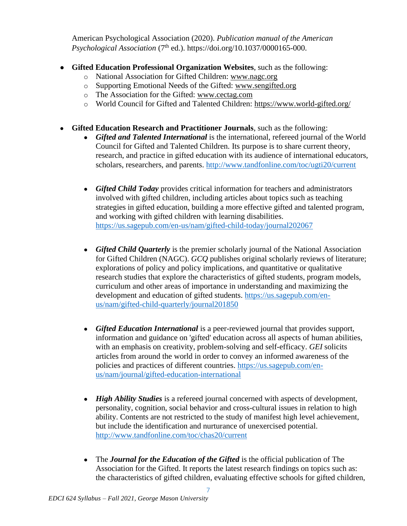American Psychological Association (2020). *Publication manual of the American Psychological Association* (7th ed.). https://doi.org/10.1037/0000165-000.

- **Gifted Education Professional Organization Websites**, such as the following:
	- o National Association for Gifted Children: [www.nagc.org](http://www.nagc.org/)
	- o Supporting Emotional Needs of the Gifted: [www.sengifted.org](http://www.sengifted.org/)
	- o The Association for the Gifted: [www.cectag.com](http://www.cectag.com/)
	- o World Council for Gifted and Talented Children:<https://www.world-gifted.org/>
- **Gifted Education Research and Practitioner Journals**, such as the following:
	- *Gifted and Talented International* is the international, refereed journal of the World Council for Gifted and Talented Children. Its purpose is to share current theory, research, and practice in gifted education with its audience of international educators, scholars, researchers, and parents. <http://www.tandfonline.com/toc/ugti20/current>
	- *Gifted Child Today* provides critical information for teachers and administrators involved with gifted children, including articles about topics such as teaching strategies in gifted education, building a more effective gifted and talented program, and working with gifted children with learning disabilities. <https://us.sagepub.com/en-us/nam/gifted-child-today/journal202067>
	- *Gifted Child Quarterly* is the premier scholarly journal of the National Association for Gifted Children (NAGC). *GCQ* publishes original scholarly reviews of literature; explorations of policy and policy implications, and quantitative or qualitative research studies that explore the characteristics of gifted students, program models, curriculum and other areas of importance in understanding and maximizing the development and education of gifted students. [https://us.sagepub.com/en](https://us.sagepub.com/en-us/nam/gifted-child-quarterly/journal201850)[us/nam/gifted-child-quarterly/journal201850](https://us.sagepub.com/en-us/nam/gifted-child-quarterly/journal201850)
	- *Gifted Education International* is a peer-reviewed journal that provides support, information and guidance on 'gifted' education across all aspects of human abilities, with an emphasis on creativity, problem-solving and self-efficacy. *GEI* solicits articles from around the world in order to convey an informed awareness of the policies and practices of different countries. [https://us.sagepub.com/en](https://us.sagepub.com/en-us/nam/journal/gifted-education-international)[us/nam/journal/gifted-education-international](https://us.sagepub.com/en-us/nam/journal/gifted-education-international)
	- *High Ability Studies* is a refereed journal concerned with aspects of development, personality, cognition, social behavior and cross-cultural issues in relation to high ability. Contents are not restricted to the study of manifest high level achievement, but include the identification and nurturance of unexercised potential. <http://www.tandfonline.com/toc/chas20/current>
	- The *Journal for the Education of the Gifted* is the official publication of The Association for the Gifted. It reports the latest research findings on topics such as: the characteristics of gifted children, evaluating effective schools for gifted children,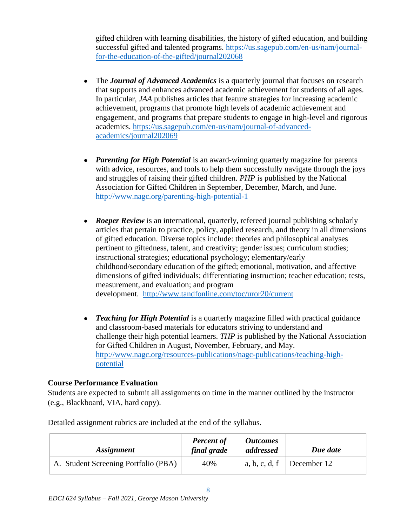gifted children with learning disabilities, the history of gifted education, and building successful gifted and talented programs. [https://us.sagepub.com/en-us/nam/journal](https://us.sagepub.com/en-us/nam/journal-for-the-education-of-the-gifted/journal202068)[for-the-education-of-the-gifted/journal202068](https://us.sagepub.com/en-us/nam/journal-for-the-education-of-the-gifted/journal202068)

- The *Journal of Advanced Academics* is a quarterly journal that focuses on research that supports and enhances advanced academic achievement for students of all ages. In particular, *JAA* publishes articles that feature strategies for increasing academic achievement, programs that promote high levels of academic achievement and engagement, and programs that prepare students to engage in high-level and rigorous academics. [https://us.sagepub.com/en-us/nam/journal-of-advanced](https://us.sagepub.com/en-us/nam/journal-of-advanced-academics/journal202069)[academics/journal202069](https://us.sagepub.com/en-us/nam/journal-of-advanced-academics/journal202069)
- *Parenting for High Potential* is an award-winning quarterly magazine for parents with advice, resources, and tools to help them successfully navigate through the joys and struggles of raising their gifted children. *PHP* is published by the National Association for Gifted Children in September, December, March, and June. <http://www.nagc.org/parenting-high-potential-1>
- *Roeper Review* is an international, quarterly, refereed journal publishing scholarly articles that pertain to practice, policy, applied research, and theory in all dimensions of gifted education. Diverse topics include: theories and philosophical analyses pertinent to giftedness, talent, and creativity; gender issues; curriculum studies; instructional strategies; educational psychology; elementary/early childhood/secondary education of the gifted; emotional, motivation, and affective dimensions of gifted individuals; differentiating instruction; teacher education; tests, measurement, and evaluation; and program development. <http://www.tandfonline.com/toc/uror20/current>
- *Teaching for High Potential* is a quarterly magazine filled with practical guidance and classroom-based materials for educators striving to understand and challenge their high potential learners. *THP* is published by the National Association for Gifted Children in August, November, February, and May. [http://www.nagc.org/resources-publications/nagc-publications/teaching-high](http://www.nagc.org/resources-publications/nagc-publications/teaching-high-potential)[potential](http://www.nagc.org/resources-publications/nagc-publications/teaching-high-potential)

## **Course Performance Evaluation**

Students are expected to submit all assignments on time in the manner outlined by the instructor (e.g., Blackboard, VIA, hard copy).

| <i>Assignment</i>                    | <b>Percent of</b><br>final grade | <i><b>Outcomes</b></i><br>addressed | Due date    |
|--------------------------------------|----------------------------------|-------------------------------------|-------------|
| A. Student Screening Portfolio (PBA) | 40%                              | a, b, c, d, f                       | December 12 |

Detailed assignment rubrics are included at the end of the syllabus.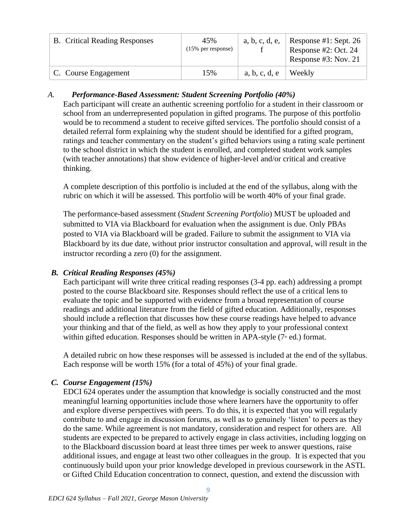| <b>B.</b> Critical Reading Responses | 45%<br>$(15\%$ per response) | a, b, c, d, e, | Response #1: Sept. 26<br>Response #2: Oct. 24<br>Response $#3$ : Nov. 21 |
|--------------------------------------|------------------------------|----------------|--------------------------------------------------------------------------|
| C. Course Engagement                 | 15%                          | a, b, c, d, e  | Weekly                                                                   |

## *A. Performance-Based Assessment: Student Screening Portfolio (40%)*

Each participant will create an authentic screening portfolio for a student in their classroom or school from an underrepresented population in gifted programs. The purpose of this portfolio would be to recommend a student to receive gifted services. The portfolio should consist of a detailed referral form explaining why the student should be identified for a gifted program, ratings and teacher commentary on the student's gifted behaviors using a rating scale pertinent to the school district in which the student is enrolled, and completed student work samples (with teacher annotations) that show evidence of higher-level and/or critical and creative thinking.

A complete description of this portfolio is included at the end of the syllabus, along with the rubric on which it will be assessed. This portfolio will be worth 40% of your final grade.

The performance-based assessment (*Student Screening Portfolio*) MUST be uploaded and submitted to VIA via Blackboard for evaluation when the assignment is due. Only PBAs posted to VIA via Blackboard will be graded. Failure to submit the assignment to VIA via Blackboard by its due date, without prior instructor consultation and approval, will result in the instructor recording a zero (0) for the assignment.

# *B. Critical Reading Responses (45%)*

Each participant will write three critical reading responses (3-4 pp. each) addressing a prompt posted to the course Blackboard site. Responses should reflect the use of a critical lens to evaluate the topic and be supported with evidence from a broad representation of course readings and additional literature from the field of gifted education. Additionally, responses should include a reflection that discusses how these course readings have helped to advance your thinking and that of the field, as well as how they apply to your professional context within gifted education. Responses should be written in APA-style  $(7*)$  ed.) format.

A detailed rubric on how these responses will be assessed is included at the end of the syllabus. Each response will be worth 15% (for a total of 45%) of your final grade.

# *C. Course Engagement (15%)*

EDCI 624 operates under the assumption that knowledge is socially constructed and the most meaningful learning opportunities include those where learners have the opportunity to offer and explore diverse perspectives with peers. To do this, it is expected that you will regularly contribute to and engage in discussion forums, as well as to genuinely 'listen' to peers as they do the same. While agreement is not mandatory, consideration and respect for others are. All students are expected to be prepared to actively engage in class activities, including logging on to the Blackboard discussion board at least three times per week to answer questions, raise additional issues, and engage at least two other colleagues in the group. It is expected that you continuously build upon your prior knowledge developed in previous coursework in the ASTL or Gifted Child Education concentration to connect, question, and extend the discussion with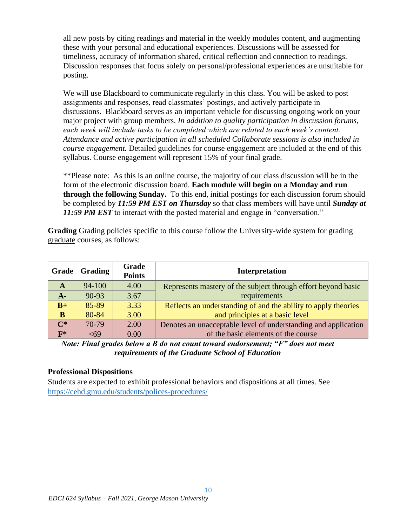all new posts by citing readings and material in the weekly modules content, and augmenting these with your personal and educational experiences. Discussions will be assessed for timeliness, accuracy of information shared, critical reflection and connection to readings. Discussion responses that focus solely on personal/professional experiences are unsuitable for posting.

We will use Blackboard to communicate regularly in this class. You will be asked to post assignments and responses, read classmates' postings, and actively participate in discussions. Blackboard serves as an important vehicle for discussing ongoing work on your major project with group members. *In addition to quality participation in discussion forums, each week will include tasks to be completed which are related to each week's content. Attendance and active participation in all scheduled Collaborate sessions is also included in course engagement.* Detailed guidelines for course engagement are included at the end of this syllabus. Course engagement will represent 15% of your final grade.

\*\*Please note: As this is an online course, the majority of our class discussion will be in the form of the electronic discussion board. **Each module will begin on a Monday and run through the following Sunday.** To this end, initial postings for each discussion forum should be completed by *11:59 PM EST on Thursday* so that class members will have until *Sunday at*  **11:59 PM EST** to interact with the posted material and engage in "conversation."

**Grading** Grading policies specific to this course follow the University-wide system for grading graduate courses, as follows:

| Grade          | <b>Grading</b> | <b>Grade</b><br><b>Points</b> | Interpretation                                                 |
|----------------|----------------|-------------------------------|----------------------------------------------------------------|
| A              | $94 - 100$     | 4.00                          | Represents mastery of the subject through effort beyond basic  |
| $A-$           | 90-93          | 3.67                          | requirements                                                   |
| $B+$           | 85-89          | 3.33                          | Reflects an understanding of and the ability to apply theories |
| B              | 80-84          | 3.00                          | and principles at a basic level                                |
| $\mathbf{C}^*$ | $70-79$        | 2.00                          | Denotes an unacceptable level of understanding and application |
| $\mathbf{F}^*$ | -69            | 0.00                          | of the basic elements of the course                            |

*Note: Final grades below a B do not count toward endorsement; "F" does not meet requirements of the Graduate School of Education*

#### **Professional Dispositions**

Students are expected to exhibit professional behaviors and dispositions at all times. See <https://cehd.gmu.edu/students/polices-procedures/>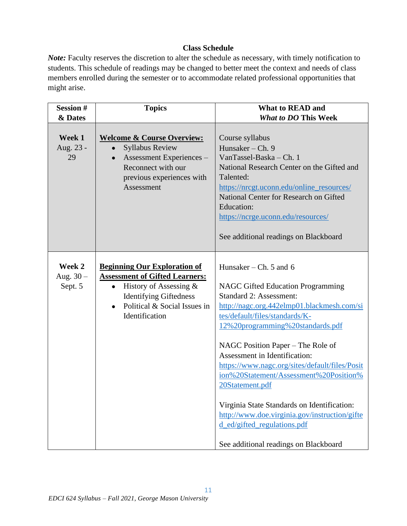## **Class Schedule**

*Note:* Faculty reserves the discretion to alter the schedule as necessary, with timely notification to students. This schedule of readings may be changed to better meet the context and needs of class members enrolled during the semester or to accommodate related professional opportunities that might arise.

| <b>Session#</b>                  | <b>Topics</b>                                                                                                                                                                                                          | <b>What to READ and</b>                                                                                                                                                                                                                                                                                                                                                                                                                                                                                                                                                               |
|----------------------------------|------------------------------------------------------------------------------------------------------------------------------------------------------------------------------------------------------------------------|---------------------------------------------------------------------------------------------------------------------------------------------------------------------------------------------------------------------------------------------------------------------------------------------------------------------------------------------------------------------------------------------------------------------------------------------------------------------------------------------------------------------------------------------------------------------------------------|
| & Dates                          |                                                                                                                                                                                                                        | <b>What to DO This Week</b>                                                                                                                                                                                                                                                                                                                                                                                                                                                                                                                                                           |
| Week 1<br>Aug. 23 -<br>29        | <b>Welcome &amp; Course Overview:</b><br><b>Syllabus Review</b><br>$\bullet$<br>Assessment Experiences -<br>$\bullet$<br>Reconnect with our<br>previous experiences with<br>Assessment                                 | Course syllabus<br>Hunsaker – Ch. $9$<br>VanTassel-Baska - Ch. 1<br>National Research Center on the Gifted and<br>Talented:<br>https://nrcgt.uconn.edu/online_resources/<br>National Center for Research on Gifted<br><b>Education:</b><br>https://ncrge.uconn.edu/resources/<br>See additional readings on Blackboard                                                                                                                                                                                                                                                                |
| Week 2<br>Aug. $30 -$<br>Sept. 5 | <b>Beginning Our Exploration of</b><br><b>Assessment of Gifted Learners:</b><br>History of Assessing $\&$<br>$\bullet$<br><b>Identifying Giftedness</b><br>Political & Social Issues in<br>$\bullet$<br>Identification | Hunsaker – Ch. 5 and 6<br><b>NAGC Gifted Education Programming</b><br><b>Standard 2: Assessment:</b><br>http://nagc.org.442elmp01.blackmesh.com/si<br>tes/default/files/standards/K-<br>12%20programming%20standards.pdf<br>NAGC Position Paper – The Role of<br>Assessment in Identification:<br>https://www.nagc.org/sites/default/files/Posit<br>ion%20Statement/Assessment%20Position%<br>20Statement.pdf<br>Virginia State Standards on Identification:<br>http://www.doe.virginia.gov/instruction/gifte<br>d_ed/gifted_regulations.pdf<br>See additional readings on Blackboard |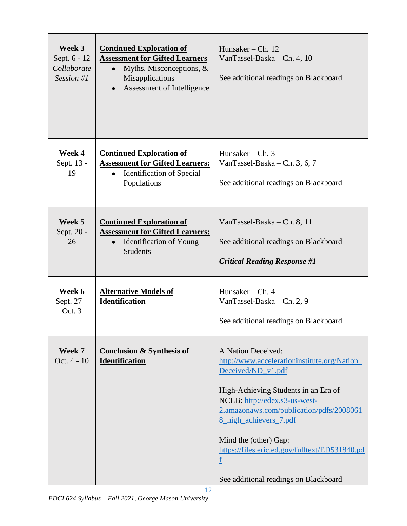| Week 3<br>Sept. 6 - 12<br>Collaborate<br>Session $#I$ | <b>Continued Exploration of</b><br><b>Assessment for Gifted Learners</b><br>Myths, Misconceptions, $\&$<br>$\bullet$<br>Misapplications<br>Assessment of Intelligence | Hunsaker – Ch. $12$<br>VanTassel-Baska – Ch. 4, 10<br>See additional readings on Blackboard                                                                                                                                                                                                                                                                                            |
|-------------------------------------------------------|-----------------------------------------------------------------------------------------------------------------------------------------------------------------------|----------------------------------------------------------------------------------------------------------------------------------------------------------------------------------------------------------------------------------------------------------------------------------------------------------------------------------------------------------------------------------------|
| Week 4<br>Sept. 13 -<br>19                            | <b>Continued Exploration of</b><br><b>Assessment for Gifted Learners:</b><br><b>Identification of Special</b><br>Populations                                          | Hunsaker – Ch. $3$<br>VanTassel-Baska – Ch. 3, 6, 7<br>See additional readings on Blackboard                                                                                                                                                                                                                                                                                           |
| Week 5<br>Sept. 20 -<br>26                            | <b>Continued Exploration of</b><br><b>Assessment for Gifted Learners:</b><br>Identification of Young<br>$\bullet$<br><b>Students</b>                                  | VanTassel-Baska – Ch. 8, 11<br>See additional readings on Blackboard<br><b>Critical Reading Response #1</b>                                                                                                                                                                                                                                                                            |
| Week 6<br>Sept. 27 -<br>Oct. 3                        | <b>Alternative Models of</b><br><b>Identification</b>                                                                                                                 | Hunsaker $-$ Ch. 4<br>VanTassel-Baska – Ch. 2, 9<br>See additional readings on Blackboard                                                                                                                                                                                                                                                                                              |
| Week 7<br>Oct. 4 - 10                                 | <b>Conclusion &amp; Synthesis of</b><br><b>Identification</b><br>12                                                                                                   | A Nation Deceived:<br>http://www.accelerationinstitute.org/Nation<br>Deceived/ND_v1.pdf<br>High-Achieving Students in an Era of<br>NCLB: http://edex.s3-us-west-<br>2.amazonaws.com/publication/pdfs/2008061<br>8 high achievers 7.pdf<br>Mind the (other) Gap:<br>https://files.eric.ed.gov/fulltext/ED531840.pd<br>$\underline{\mathbf{f}}$<br>See additional readings on Blackboard |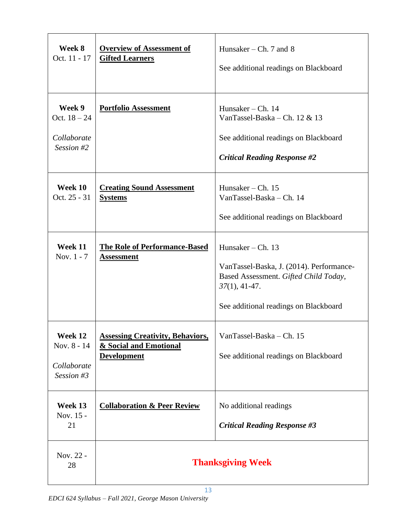| Week 8<br>Oct. 11 - 17                                | <b>Overview of Assessment of</b><br><b>Gifted Learners</b>                              | Hunsaker – Ch. 7 and 8<br>See additional readings on Blackboard                                                                                                    |
|-------------------------------------------------------|-----------------------------------------------------------------------------------------|--------------------------------------------------------------------------------------------------------------------------------------------------------------------|
| Week 9<br>Oct. $18 - 24$<br>Collaborate<br>Session #2 | <b>Portfolio Assessment</b>                                                             | Hunsaker – Ch. $14$<br>VanTassel-Baska – Ch. 12 & 13<br>See additional readings on Blackboard<br><b>Critical Reading Response #2</b>                               |
| Week 10<br>Oct. 25 - 31                               | <b>Creating Sound Assessment</b><br><b>Systems</b>                                      | Hunsaker – Ch. $15$<br>VanTassel-Baska - Ch. 14<br>See additional readings on Blackboard                                                                           |
| Week 11<br>Nov. 1 - 7                                 | <b>The Role of Performance-Based</b><br><b>Assessment</b>                               | Hunsaker - Ch. 13<br>VanTassel-Baska, J. (2014). Performance-<br>Based Assessment. Gifted Child Today,<br>$37(1), 41-47.$<br>See additional readings on Blackboard |
| Week 12<br>Nov. 8 - 14<br>Collaborate<br>Session #3   | <b>Assessing Creativity, Behaviors,</b><br>& Social and Emotional<br><b>Development</b> | VanTassel-Baska - Ch. 15<br>See additional readings on Blackboard                                                                                                  |
| Week 13<br>Nov. 15 -<br>21                            | <b>Collaboration &amp; Peer Review</b>                                                  | No additional readings<br><b>Critical Reading Response #3</b>                                                                                                      |
| Nov. 22 -<br>28                                       |                                                                                         | <b>Thanksgiving Week</b>                                                                                                                                           |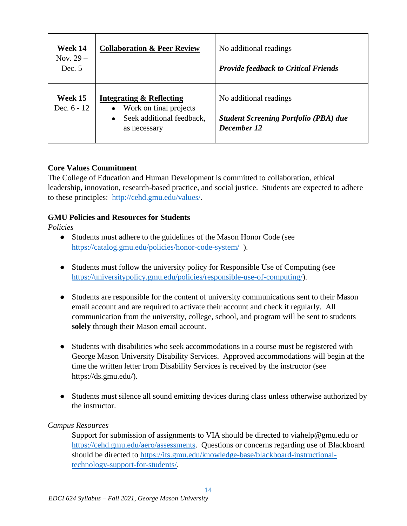| Week 14<br>Nov. $29-$<br>Dec. 5 | <b>Collaboration &amp; Peer Review</b>                                                                                               | No additional readings<br><b>Provide feedback to Critical Friends</b>                 |
|---------------------------------|--------------------------------------------------------------------------------------------------------------------------------------|---------------------------------------------------------------------------------------|
| Week 15<br>Dec. $6 - 12$        | <b>Integrating &amp; Reflecting</b><br>Work on final projects<br>$\bullet$<br>Seek additional feedback,<br>$\bullet$<br>as necessary | No additional readings<br><b>Student Screening Portfolio (PBA) due</b><br>December 12 |

## **Core Values Commitment**

The College of Education and Human Development is committed to collaboration, ethical leadership, innovation, research-based practice, and social justice. Students are expected to adhere to these principles: [http://cehd.gmu.edu/values/.](http://cehd.gmu.edu/values/)

# **GMU Policies and Resources for Students**

*Policies*

- Students must adhere to the guidelines of the Mason Honor Code (see <https://catalog.gmu.edu/policies/honor-code-system/>).
- Students must follow the university policy for Responsible Use of Computing (see [https://universitypolicy.gmu.edu/policies/responsible-use-of-computing/\)](https://universitypolicy.gmu.edu/policies/responsible-use-of-computing/).
- Students are responsible for the content of university communications sent to their Mason email account and are required to activate their account and check it regularly. All communication from the university, college, school, and program will be sent to students **solely** through their Mason email account.
- Students with disabilities who seek accommodations in a course must be registered with George Mason University Disability Services. Approved accommodations will begin at the time the written letter from Disability Services is received by the instructor (see https://ds.gmu.edu/).
- Students must silence all sound emitting devices during class unless otherwise authorized by the instructor.

# *Campus Resources*

Support for submission of assignments to VIA should be directed to viahelp@gmu.edu or [https://cehd.gmu.edu/aero/assessments.](https://cehd.gmu.edu/aero/assessments) Questions or concerns regarding use of Blackboard should be directed to [https://its.gmu.edu/knowledge-base/blackboard-instructional](https://its.gmu.edu/knowledge-base/blackboard-instructional-technology-support-for-students/)[technology-support-for-students/.](https://its.gmu.edu/knowledge-base/blackboard-instructional-technology-support-for-students/)

 $14$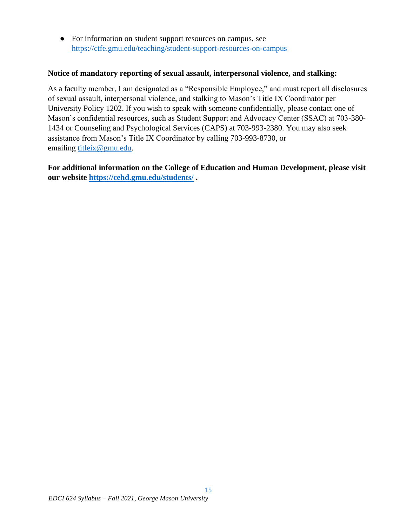• For information on student support resources on campus, see <https://ctfe.gmu.edu/teaching/student-support-resources-on-campus>

### **Notice of mandatory reporting of sexual assault, interpersonal violence, and stalking:**

As a faculty member, I am designated as a "Responsible Employee," and must report all disclosures of sexual assault, interpersonal violence, and stalking to Mason's Title IX Coordinator per University Policy 1202. If you wish to speak with someone confidentially, please contact one of Mason's confidential resources, such as Student Support and Advocacy Center (SSAC) at 703-380- 1434 or Counseling and Psychological Services (CAPS) at 703-993-2380. You may also seek assistance from Mason's Title IX Coordinator by calling 703-993-8730, or emailing [titleix@gmu.edu.](mailto:titleix@gmu.edu)

**For additional information on the College of Education and Human Development, please visit our website<https://cehd.gmu.edu/students/> .**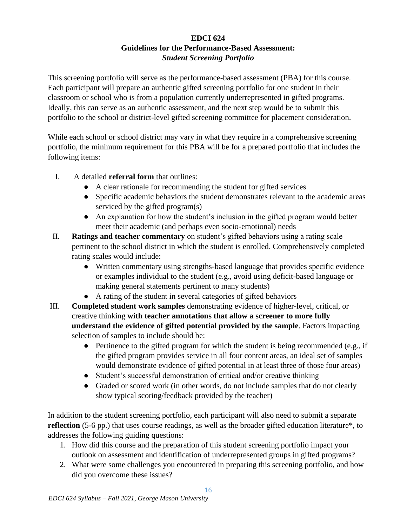# **EDCI 624 Guidelines for the Performance-Based Assessment:** *Student Screening Portfolio*

This screening portfolio will serve as the performance-based assessment (PBA) for this course. Each participant will prepare an authentic gifted screening portfolio for one student in their classroom or school who is from a population currently underrepresented in gifted programs. Ideally, this can serve as an authentic assessment, and the next step would be to submit this portfolio to the school or district-level gifted screening committee for placement consideration.

While each school or school district may vary in what they require in a comprehensive screening portfolio, the minimum requirement for this PBA will be for a prepared portfolio that includes the following items:

- I. A detailed **referral form** that outlines:
	- A clear rationale for recommending the student for gifted services
	- Specific academic behaviors the student demonstrates relevant to the academic areas serviced by the gifted program(s)
	- An explanation for how the student's inclusion in the gifted program would better meet their academic (and perhaps even socio-emotional) needs
- II. **Ratings and teacher commentary** on student's gifted behaviors using a rating scale pertinent to the school district in which the student is enrolled. Comprehensively completed rating scales would include:
	- Written commentary using strengths-based language that provides specific evidence or examples individual to the student (e.g., avoid using deficit-based language or making general statements pertinent to many students)
	- A rating of the student in several categories of gifted behaviors
- III. **Completed student work samples** demonstrating evidence of higher-level, critical, or creative thinking **with teacher annotations that allow a screener to more fully understand the evidence of gifted potential provided by the sample**. Factors impacting selection of samples to include should be:
	- Pertinence to the gifted program for which the student is being recommended (e.g., if the gifted program provides service in all four content areas, an ideal set of samples would demonstrate evidence of gifted potential in at least three of those four areas)
	- Student's successful demonstration of critical and/or creative thinking
	- Graded or scored work (in other words, do not include samples that do not clearly show typical scoring/feedback provided by the teacher)

In addition to the student screening portfolio, each participant will also need to submit a separate **reflection** (5-6 pp.) that uses course readings, as well as the broader gifted education literature\*, to addresses the following guiding questions:

- 1. How did this course and the preparation of this student screening portfolio impact your outlook on assessment and identification of underrepresented groups in gifted programs?
- 2. What were some challenges you encountered in preparing this screening portfolio, and how did you overcome these issues?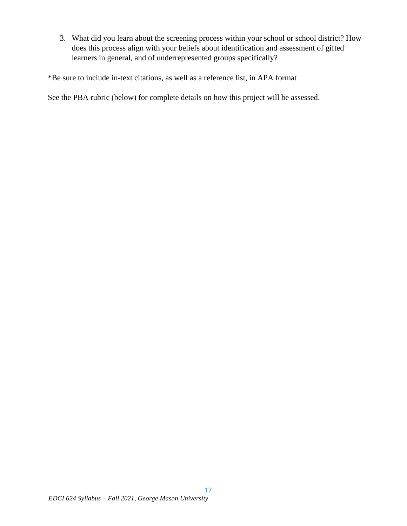3. What did you learn about the screening process within your school or school district? How does this process align with your beliefs about identification and assessment of gifted learners in general, and of underrepresented groups specifically?

\*Be sure to include in-text citations, as well as a reference list, in APA format

See the PBA rubric (below) for complete details on how this project will be assessed.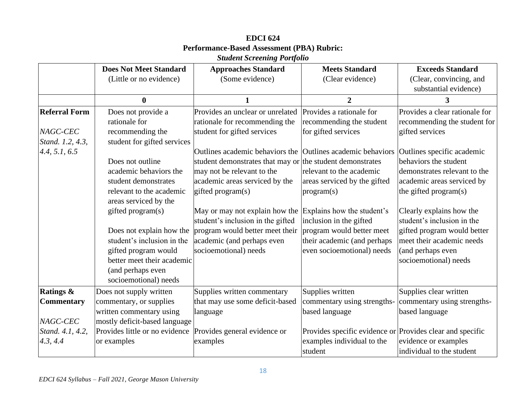|                      | <b>Does Not Meet Standard</b>  | <b>Approaches Standard</b>                                | <b>Meets Standard</b>                                     | <b>Exceeds Standard</b>        |
|----------------------|--------------------------------|-----------------------------------------------------------|-----------------------------------------------------------|--------------------------------|
|                      | (Little or no evidence)        | (Some evidence)                                           | (Clear evidence)                                          | (Clear, convincing, and        |
|                      |                                |                                                           |                                                           | substantial evidence)          |
|                      | $\mathbf{0}$                   |                                                           | $\overline{2}$                                            | 3                              |
| <b>Referral Form</b> | Does not provide a             | Provides an unclear or unrelated                          | Provides a rationale for                                  | Provides a clear rationale for |
|                      | rationale for                  | rationale for recommending the                            | recommending the student                                  | recommending the student for   |
| NAGC-CEC             | recommending the               | student for gifted services                               | for gifted services                                       | gifted services                |
| Stand. 1.2, 4.3,     | student for gifted services    |                                                           |                                                           |                                |
| 4.4, 5.1, 6.5        |                                | Outlines academic behaviors the                           | Outlines academic behaviors                               | Outlines specific academic     |
|                      | Does not outline               | student demonstrates that may or the student demonstrates |                                                           | behaviors the student          |
|                      | academic behaviors the         | may not be relevant to the                                | relevant to the academic                                  | demonstrates relevant to the   |
|                      | student demonstrates           | academic areas serviced by the                            | areas serviced by the gifted                              | academic areas serviced by     |
|                      | relevant to the academic       | gifted program(s)                                         | program(s)                                                | the gifted program(s)          |
|                      | areas serviced by the          |                                                           |                                                           |                                |
|                      | gifted program(s)              | May or may not explain how the                            | Explains how the student's                                | Clearly explains how the       |
|                      |                                | student's inclusion in the gifted                         | inclusion in the gifted                                   | student's inclusion in the     |
|                      | Does not explain how the       | program would better meet their                           | program would better meet                                 | gifted program would better    |
|                      | student's inclusion in the     | academic (and perhaps even                                | their academic (and perhaps                               | meet their academic needs      |
|                      | gifted program would           | socioemotional) needs                                     | even socioemotional) needs                                | (and perhaps even              |
|                      | better meet their academic     |                                                           |                                                           | socioemotional) needs          |
|                      | (and perhaps even              |                                                           |                                                           |                                |
|                      | socioemotional) needs          |                                                           |                                                           |                                |
| <b>Ratings &amp;</b> | Does not supply written        | Supplies written commentary                               | Supplies written                                          | Supplies clear written         |
| <b>Commentary</b>    | commentary, or supplies        | that may use some deficit-based                           | commentary using strengths-                               | commentary using strengths-    |
|                      | written commentary using       | language                                                  | based language                                            | based language                 |
| NAGC-CEC             | mostly deficit-based language  |                                                           |                                                           |                                |
| Stand. 4.1, 4.2,     | Provides little or no evidence | Provides general evidence or                              | Provides specific evidence or Provides clear and specific |                                |
| 4.3, 4.4             | or examples                    | examples                                                  | examples individual to the                                | evidence or examples           |
|                      |                                |                                                           | student                                                   | individual to the student      |

# **EDCI 624 Performance-Based Assessment (PBA) Rubric:** *Student Screening Portfolio*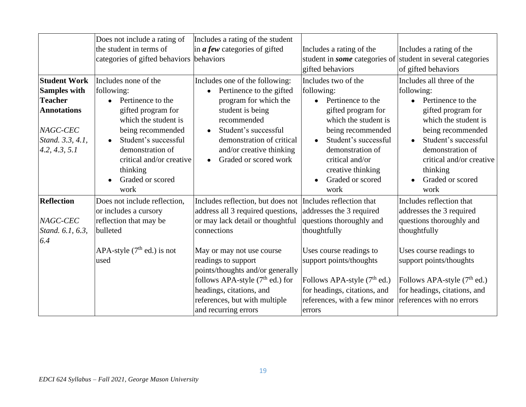|                     | Does not include a rating of             | Includes a rating of the student             |                                                                    |                                         |
|---------------------|------------------------------------------|----------------------------------------------|--------------------------------------------------------------------|-----------------------------------------|
|                     | the student in terms of                  | in $\boldsymbol{a}$ few categories of gifted | Includes a rating of the                                           | Includes a rating of the                |
|                     | categories of gifted behaviors behaviors |                                              | student in <i>some</i> categories of student in several categories |                                         |
|                     |                                          |                                              | gifted behaviors                                                   | of gifted behaviors                     |
| <b>Student Work</b> | Includes none of the                     | Includes one of the following:               | Includes two of the                                                | Includes all three of the               |
| <b>Samples with</b> | following:                               | Pertinence to the gifted                     | following:                                                         | following:                              |
| <b>Teacher</b>      | Pertinence to the                        | program for which the                        | Pertinence to the                                                  | Pertinence to the<br>$\bullet$          |
| <b>Annotations</b>  | gifted program for                       | student is being                             | gifted program for                                                 | gifted program for                      |
|                     | which the student is                     | recommended                                  | which the student is                                               | which the student is                    |
| NAGC-CEC            | being recommended                        | Student's successful                         | being recommended                                                  | being recommended                       |
| Stand. 3.3, 4.1,    | Student's successful                     | demonstration of critical                    | Student's successful                                               | Student's successful                    |
| 4.2, 4.3, 5.1       | demonstration of                         | and/or creative thinking                     | demonstration of                                                   | demonstration of                        |
|                     | critical and/or creative                 | Graded or scored work                        | critical and/or                                                    | critical and/or creative                |
|                     | thinking                                 |                                              | creative thinking                                                  | thinking                                |
|                     | Graded or scored                         |                                              | Graded or scored                                                   | Graded or scored                        |
|                     | work                                     |                                              | work                                                               | work                                    |
| <b>Reflection</b>   | Does not include reflection,             | Includes reflection, but does not            | Includes reflection that                                           | Includes reflection that                |
|                     | or includes a cursory                    | address all 3 required questions,            | addresses the 3 required                                           | addresses the 3 required                |
| NAGC-CEC            | reflection that may be                   | or may lack detail or thoughtful             | questions thoroughly and                                           | questions thoroughly and                |
| Stand. 6.1, 6.3,    | bulleted                                 | connections                                  | thoughtfully                                                       | thoughtfully                            |
| 6.4                 |                                          |                                              |                                                                    |                                         |
|                     | APA-style $(7th$ ed.) is not             | May or may not use course                    | Uses course readings to                                            | Uses course readings to                 |
|                     | used                                     | readings to support                          | support points/thoughts                                            | support points/thoughts                 |
|                     |                                          | points/thoughts and/or generally             |                                                                    |                                         |
|                     |                                          | follows APA-style $(7th$ ed.) for            | Follows APA-style $(7th$ ed.)                                      | Follows APA-style (7 <sup>th</sup> ed.) |
|                     |                                          | headings, citations, and                     | for headings, citations, and                                       | for headings, citations, and            |
|                     |                                          | references, but with multiple                | references, with a few minor                                       | references with no errors               |
|                     |                                          | and recurring errors                         | errors                                                             |                                         |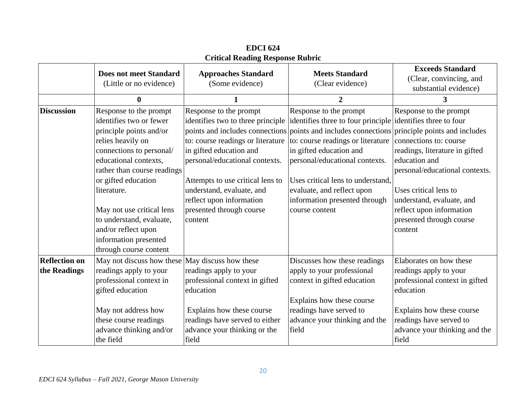|                      | <b>Does not meet Standard</b><br>(Little or no evidence) | <b>Approaches Standard</b><br>(Some evidence) | <b>Meets Standard</b><br>(Clear evidence)                                                     | <b>Exceeds Standard</b><br>(Clear, convincing, and<br>substantial evidence) |
|----------------------|----------------------------------------------------------|-----------------------------------------------|-----------------------------------------------------------------------------------------------|-----------------------------------------------------------------------------|
|                      | $\bf{0}$                                                 | 1                                             | $\mathbf{2}$                                                                                  | 3                                                                           |
| <b>Discussion</b>    | Response to the prompt                                   | Response to the prompt                        | Response to the prompt                                                                        | Response to the prompt                                                      |
|                      | identifies two or fewer                                  | identifies two to three principle             | identifies three to four principle didentifies three to four                                  |                                                                             |
|                      | principle points and/or                                  |                                               | points and includes connections points and includes connections principle points and includes |                                                                             |
|                      | relies heavily on                                        | to: course readings or literature             | to: course readings or literature                                                             | connections to: course                                                      |
|                      | connections to personal/                                 | in gifted education and                       | in gifted education and                                                                       | readings, literature in gifted                                              |
|                      | educational contexts.                                    | personal/educational contexts.                | personal/educational contexts.                                                                | education and                                                               |
|                      | rather than course readings                              |                                               |                                                                                               | personal/educational contexts.                                              |
|                      | or gifted education                                      | Attempts to use critical lens to              | Uses critical lens to understand.                                                             |                                                                             |
|                      | literature.                                              | understand, evaluate, and                     | evaluate, and reflect upon                                                                    | Uses critical lens to                                                       |
|                      |                                                          | reflect upon information                      | information presented through                                                                 | understand, evaluate, and                                                   |
|                      | May not use critical lens                                | presented through course                      | course content                                                                                | reflect upon information                                                    |
|                      | to understand, evaluate,                                 | content                                       |                                                                                               | presented through course                                                    |
|                      | and/or reflect upon                                      |                                               |                                                                                               | content                                                                     |
|                      | information presented                                    |                                               |                                                                                               |                                                                             |
|                      | through course content                                   |                                               |                                                                                               |                                                                             |
| <b>Reflection on</b> | May not discuss how these May discuss how these          |                                               | Discusses how these readings                                                                  | Elaborates on how these                                                     |
| the Readings         | readings apply to your                                   | readings apply to your                        | apply to your professional                                                                    | readings apply to your                                                      |
|                      | professional context in                                  | professional context in gifted                | context in gifted education                                                                   | professional context in gifted                                              |
|                      | gifted education                                         | education                                     |                                                                                               | education                                                                   |
|                      |                                                          |                                               | Explains how these course                                                                     |                                                                             |
|                      | May not address how                                      | Explains how these course                     | readings have served to                                                                       | Explains how these course                                                   |
|                      | these course readings                                    | readings have served to either                | advance your thinking and the                                                                 | readings have served to                                                     |
|                      | advance thinking and/or                                  | advance your thinking or the                  | field                                                                                         | advance your thinking and the                                               |
|                      | the field                                                | field                                         |                                                                                               | field                                                                       |

**EDCI 624 Critical Reading Response Rubric**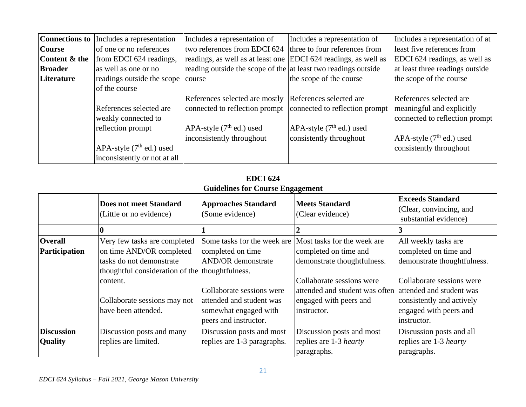| <b>Connections to</b> | Includes a representation         | Includes a representation of                                    | Includes a representation of  | Includes a representation of at |
|-----------------------|-----------------------------------|-----------------------------------------------------------------|-------------------------------|---------------------------------|
| <b>Course</b>         | of one or no references           | two references from EDCI 624                                    | three to four references from | least five references from      |
| Content & the         | from EDCI 624 readings,           | readings, as well as at least one EDCI 624 readings, as well as |                               | EDCI 624 readings, as well as   |
| <b>Broader</b>        | as well as one or no              | reading outside the scope of the at least two readings outside  |                               | at least three readings outside |
| Literature            | readings outside the scope course |                                                                 | the scope of the course       | the scope of the course         |
|                       | of the course                     |                                                                 |                               |                                 |
|                       |                                   | References selected are mostly References selected are          |                               | References selected are         |
|                       | References selected are           | connected to reflection prompt connected to reflection prompt   |                               | meaningful and explicitly       |
|                       | weakly connected to               |                                                                 |                               | connected to reflection prompt  |
|                       | reflection prompt                 | APA-style $(7th$ ed.) used                                      | APA-style $(7th$ ed.) used    |                                 |
|                       |                                   | inconsistently throughout                                       | consistently throughout       | APA-style $(7th$ ed.) used      |
|                       | APA-style $(7th$ ed.) used        |                                                                 |                               | consistently throughout         |
|                       | inconsistently or not at all      |                                                                 |                               |                                 |

**EDCI 624 Guidelines for Course Engagement**

|                   | <b>Does not meet Standard</b><br>(Little or no evidence) | <b>Approaches Standard</b><br>(Some evidence) | <b>Meets Standard</b><br>(Clear evidence) | <b>Exceeds Standard</b><br>(Clear, convincing, and<br>substantial evidence) |
|-------------------|----------------------------------------------------------|-----------------------------------------------|-------------------------------------------|-----------------------------------------------------------------------------|
|                   |                                                          |                                               |                                           |                                                                             |
| <b>Overall</b>    | Very few tasks are completed                             | Some tasks for the week are                   | Most tasks for the week are               | All weekly tasks are                                                        |
| Participation     | on time AND/OR completed                                 | completed on time                             | completed on time and                     | completed on time and                                                       |
|                   | tasks do not demonstrate                                 | <b>AND/OR</b> demonstrate                     | demonstrate thoughtfulness.               | demonstrate thoughtfulness.                                                 |
|                   | thoughtful consideration of the thoughtfulness.          |                                               |                                           |                                                                             |
|                   | content.                                                 |                                               | Collaborate sessions were                 | Collaborate sessions were                                                   |
|                   |                                                          | Collaborate sessions were                     | attended and student was often            | attended and student was                                                    |
|                   | Collaborate sessions may not                             | attended and student was                      | engaged with peers and                    | consistently and actively                                                   |
|                   | have been attended.                                      | somewhat engaged with                         | instructor.                               | engaged with peers and                                                      |
|                   |                                                          | peers and instructor.                         |                                           | instructor.                                                                 |
| <b>Discussion</b> | Discussion posts and many                                | Discussion posts and most                     | Discussion posts and most                 | Discussion posts and all                                                    |
| <b>Quality</b>    | replies are limited.                                     | replies are 1-3 paragraphs.                   | replies are 1-3 <i>hearty</i>             | replies are 1-3 <i>hearty</i>                                               |
|                   |                                                          |                                               | paragraphs.                               | paragraphs.                                                                 |